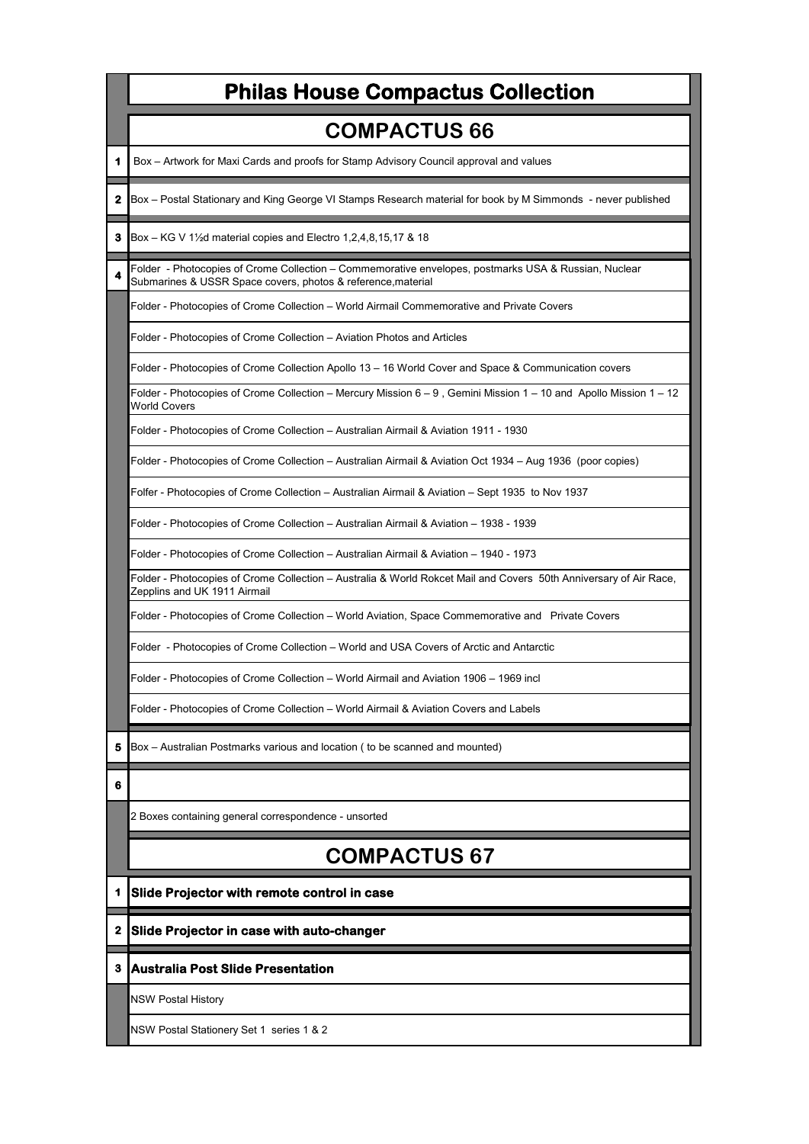|   | <b>Philas House Compactus Collection</b>                                                                                                                             |
|---|----------------------------------------------------------------------------------------------------------------------------------------------------------------------|
|   | <b>COMPACTUS 66</b>                                                                                                                                                  |
|   | Box – Artwork for Maxi Cards and proofs for Stamp Advisory Council approval and values                                                                               |
| 2 | Box - Postal Stationary and King George VI Stamps Research material for book by M Simmonds - never published                                                         |
| з | Box – KG V 1 $\frac{1}{2}$ d material copies and Electro 1,2,4,8,15,17 & 18                                                                                          |
|   | Folder - Photocopies of Crome Collection - Commemorative envelopes, postmarks USA & Russian, Nuclear<br>Submarines & USSR Space covers, photos & reference, material |
|   | Folder - Photocopies of Crome Collection – World Airmail Commemorative and Private Covers                                                                            |
|   | Folder - Photocopies of Crome Collection - Aviation Photos and Articles                                                                                              |
|   | Folder - Photocopies of Crome Collection Apollo 13 - 16 World Cover and Space & Communication covers                                                                 |
|   | Folder - Photocopies of Crome Collection – Mercury Mission 6 – 9, Gemini Mission 1 – 10 and Apollo Mission 1 – 12<br><b>World Covers</b>                             |
|   | Folder - Photocopies of Crome Collection - Australian Airmail & Aviation 1911 - 1930                                                                                 |
|   | Folder - Photocopies of Crome Collection – Australian Airmail & Aviation Oct 1934 – Aug 1936 (poor copies)                                                           |
|   | Folfer - Photocopies of Crome Collection – Australian Airmail & Aviation – Sept 1935 to Nov 1937                                                                     |
|   | Folder - Photocopies of Crome Collection – Australian Airmail & Aviation – 1938 - 1939                                                                               |
|   | Folder - Photocopies of Crome Collection – Australian Airmail & Aviation – 1940 - 1973                                                                               |
|   | Folder - Photocopies of Crome Collection – Australia & World Rokcet Mail and Covers 50th Anniversary of Air Race,<br>Zepplins and UK 1911 Airmail                    |
|   | Folder - Photocopies of Crome Collection - World Aviation, Space Commemorative and Private Covers                                                                    |
|   | Folder -Photocopies of Crome Collection – World and USA Covers of Arctic and Antarctic                                                                               |
|   | Folder - Photocopies of Crome Collection – World Airmail and Aviation 1906 – 1969 incl                                                                               |
|   | Folder - Photocopies of Crome Collection – World Airmail & Aviation Covers and Labels                                                                                |
| 5 | Box – Australian Postmarks various and location ( to be scanned and mounted)                                                                                         |
| 6 |                                                                                                                                                                      |
|   | 2 Boxes containing general correspondence - unsorted                                                                                                                 |
|   | <b>COMPACTUS 67</b>                                                                                                                                                  |
| 1 | Slide Projector with remote control in case                                                                                                                          |
| 2 | Slide Projector in case with auto-changer                                                                                                                            |
| 3 | <b>Australia Post Slide Presentation</b>                                                                                                                             |
|   | NSW Postal History                                                                                                                                                   |
|   | NSW Postal Stationery Set 1 series 1 & 2                                                                                                                             |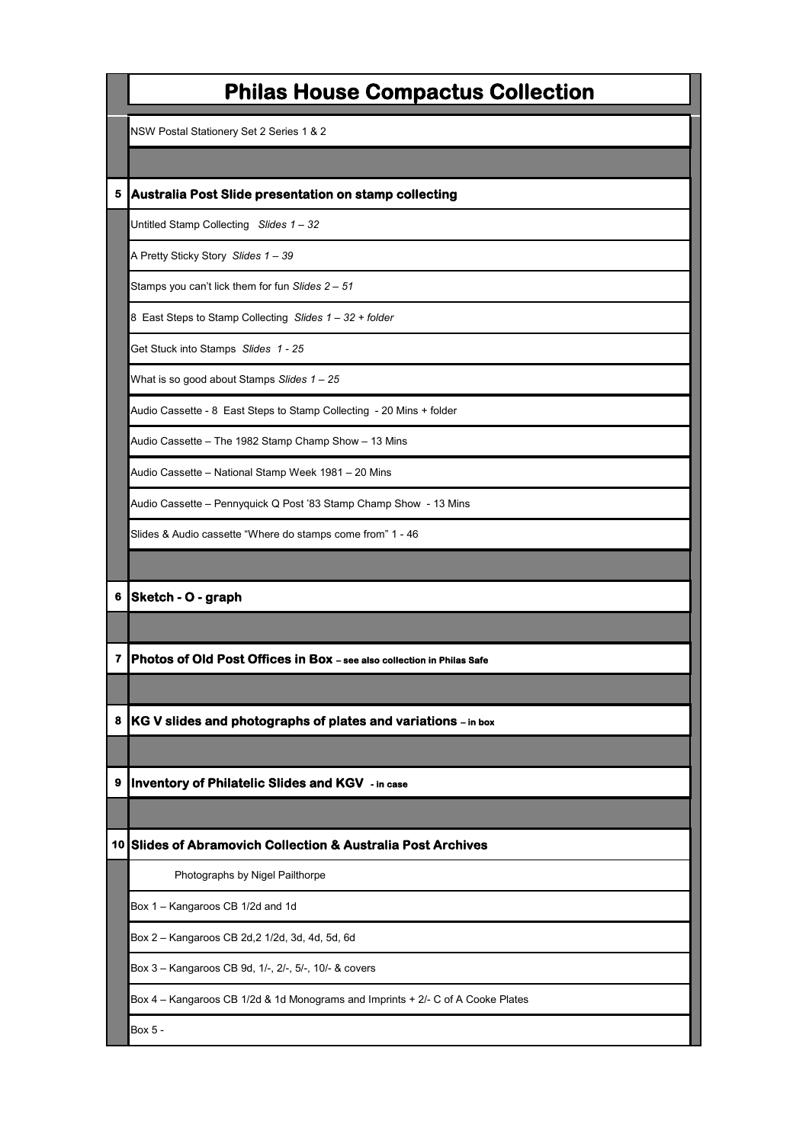|                 | <b>Philas House Compactus Collection</b>                                        |
|-----------------|---------------------------------------------------------------------------------|
|                 | NSW Postal Stationery Set 2 Series 1 & 2                                        |
|                 |                                                                                 |
| 5               | Australia Post Slide presentation on stamp collecting                           |
|                 | Untitled Stamp Collecting Slides 1 - 32                                         |
|                 | A Pretty Sticky Story Slides 1 - 39                                             |
|                 | Stamps you can't lick them for fun Slides 2 - 51                                |
|                 | 8 East Steps to Stamp Collecting Slides 1 - 32 + folder                         |
|                 | Get Stuck into Stamps Slides 1 - 25                                             |
|                 | What is so good about Stamps Slides 1 - 25                                      |
|                 | Audio Cassette - 8 East Steps to Stamp Collecting - 20 Mins + folder            |
|                 | Audio Cassette - The 1982 Stamp Champ Show - 13 Mins                            |
|                 | Audio Cassette - National Stamp Week 1981 - 20 Mins                             |
|                 | Audio Cassette - Pennyquick Q Post '83 Stamp Champ Show - 13 Mins               |
|                 | Slides & Audio cassette "Where do stamps come from" 1 - 46                      |
|                 |                                                                                 |
| 6               | Sketch - O - graph                                                              |
|                 |                                                                                 |
| 7               | Photos of Old Post Offices in Box - see also collection in Philas Safe          |
|                 |                                                                                 |
| 8               | KG V slides and photographs of plates and variations - in box                   |
|                 |                                                                                 |
| 9               | <b>Inventory of Philatelic Slides and KGV - in case</b>                         |
|                 |                                                                                 |
| 10 <sub>l</sub> | <b>Slides of Abramovich Collection &amp; Australia Post Archives</b>            |
|                 | Photographs by Nigel Pailthorpe                                                 |
|                 | Box 1 - Kangaroos CB 1/2d and 1d                                                |
|                 | Box 2 - Kangaroos CB 2d, 2 1/2d, 3d, 4d, 5d, 6d                                 |
|                 | Box 3 - Kangaroos CB 9d, 1/-, 2/-, 5/-, 10/- & covers                           |
|                 | Box 4 – Kangaroos CB 1/2d & 1d Monograms and Imprints + 2/- C of A Cooke Plates |
|                 | Box 5 -                                                                         |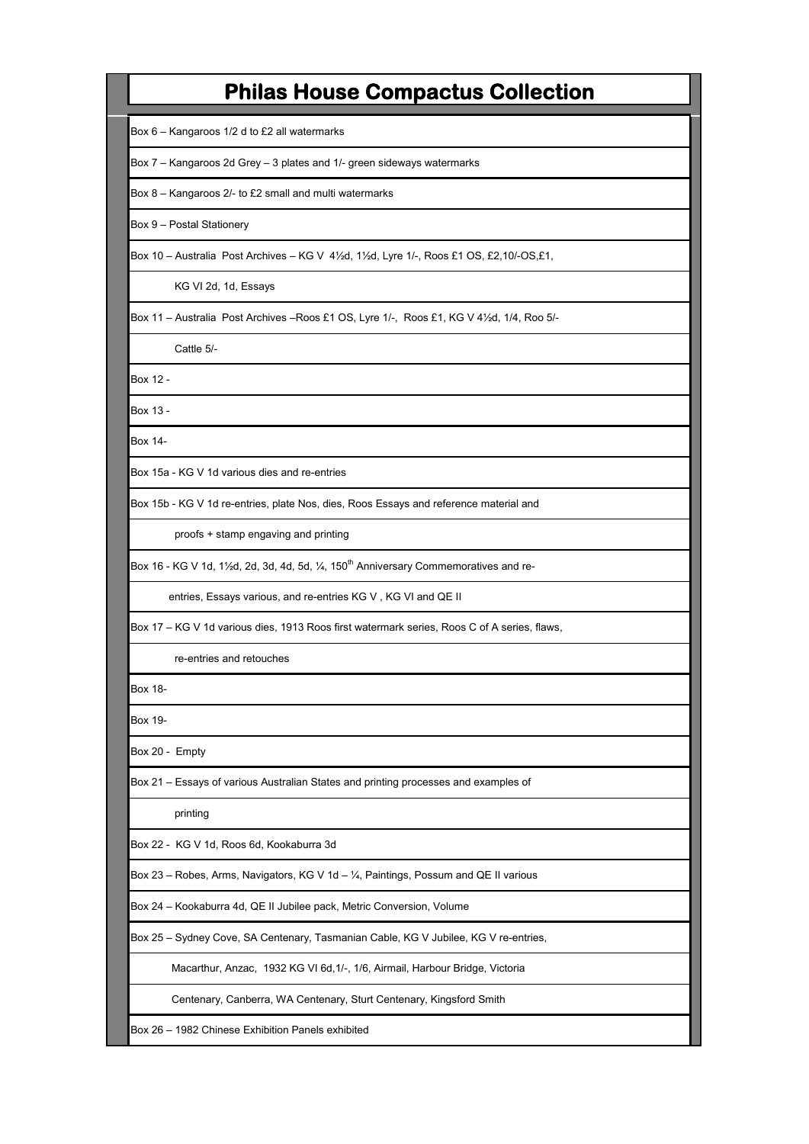Box 6 – Kangaroos 1/2 d to £2 all watermarks

Box 7 – Kangaroos 2d Grey – 3 plates and 1/- green sideways watermarks

Box 8 – Kangaroos 2/- to £2 small and multi watermarks

Box 9 – Postal Stationery

Box 10 – Australia Post Archives – KG V 4½d, 1½d, Lyre 1/-, Roos £1 OS, £2,10/-OS,£1,

KG VI 2d, 1d, Essays

Box 11 – Australia Post Archives –Roos £1 OS, Lyre 1/-, Roos £1, KG V 4½d, 1/4, Roo 5/-

Cattle 5/-

Box 12 -

Box 13 -

Box 14-

Box 15a - KG V 1d various dies and re-entries

Box 15b - KG V 1d re-entries, plate Nos, dies, Roos Essays and reference material and

proofs + stamp engaving and printing

Box 16 - KG V 1d, 1½d, 2d, 3d, 4d, 5d,  $\frac{1}{4}$ , 150<sup>th</sup> Anniversary Commemoratives and re-

entries, Essays various, and re-entries KG V , KG VI and QE II

Box 17 – KG V 1d various dies, 1913 Roos first watermark series, Roos C of A series, flaws,

re-entries and retouches

Box 18-

Box 19-

Box 20 - Empty

Box 21 – Essays of various Australian States and printing processes and examples of

printing

Box 22 - KG V 1d, Roos 6d, Kookaburra 3d

Box 23 – Robes, Arms, Navigators, KG V 1d – ¼, Paintings, Possum and QE II various

Box 24 – Kookaburra 4d, QE II Jubilee pack, Metric Conversion, Volume

Box 25 – Sydney Cove, SA Centenary, Tasmanian Cable, KG V Jubilee, KG V re-entries,

Macarthur, Anzac, 1932 KG VI 6d,1/-, 1/6, Airmail, Harbour Bridge, Victoria

Centenary, Canberra, WA Centenary, Sturt Centenary, Kingsford Smith

Box 26 – 1982 Chinese Exhibition Panels exhibited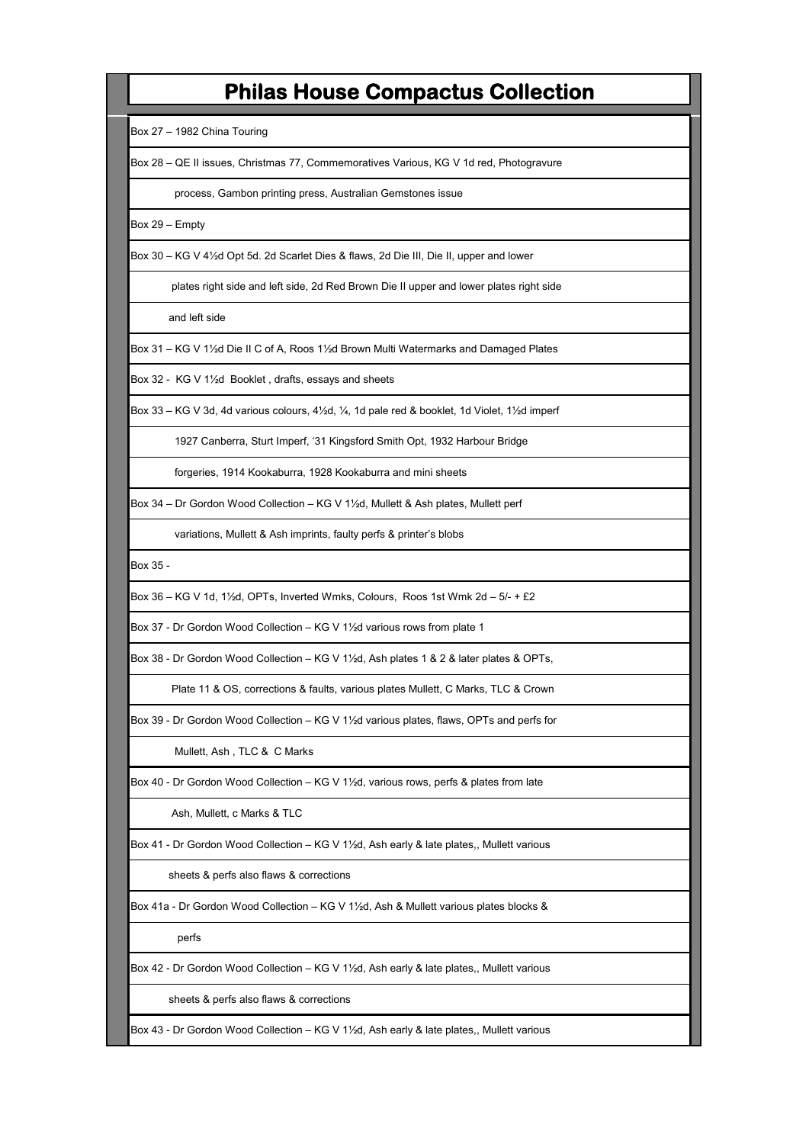Box 27 – 1982 China Touring

Box 28 – QE II issues, Christmas 77, Commemoratives Various, KG V 1d red, Photogravure

process, Gambon printing press, Australian Gemstones issue

Box 29 – Empty

Box 30 – KG V 4½d Opt 5d. 2d Scarlet Dies & flaws, 2d Die III, Die II, upper and lower

plates right side and left side, 2d Red Brown Die II upper and lower plates right side

and left side

Box 31 – KG V 1½d Die II C of A, Roos 1½d Brown Multi Watermarks and Damaged Plates

Box 32 - KG V 1½d Booklet , drafts, essays and sheets

Box 33 – KG V 3d, 4d various colours, 4½d, ¼, 1d pale red & booklet, 1d Violet, 1½d imperf

1927 Canberra, Sturt Imperf, '31 Kingsford Smith Opt, 1932 Harbour Bridge

forgeries, 1914 Kookaburra, 1928 Kookaburra and mini sheets

Box 34 – Dr Gordon Wood Collection – KG V 1½d, Mullett & Ash plates, Mullett perf

variations, Mullett & Ash imprints, faulty perfs & printer's blobs

Box 35 -

Box 36 – KG V 1d, 1½d, OPTs, Inverted Wmks, Colours, Roos 1st Wmk 2d – 5/- + £2

Box 37 - Dr Gordon Wood Collection – KG V 1½d various rows from plate 1

Box 38 - Dr Gordon Wood Collection – KG V 1½d, Ash plates 1 & 2 & later plates & OPTs,

Plate 11 & OS, corrections & faults, various plates Mullett, C Marks, TLC & Crown

Box 39 - Dr Gordon Wood Collection – KG V 1½d various plates, flaws, OPTs and perfs for

Mullett, Ash , TLC & C Marks

Box 40 - Dr Gordon Wood Collection – KG V 1½d, various rows, perfs & plates from late

Ash, Mullett, c Marks & TLC

Box 41 - Dr Gordon Wood Collection – KG V 1½d, Ash early & late plates,, Mullett various

sheets & perfs also flaws & corrections

Box 41a - Dr Gordon Wood Collection – KG V 1½d, Ash & Mullett various plates blocks &

perfs

Box 42 - Dr Gordon Wood Collection – KG V 1½d, Ash early & late plates,, Mullett various

sheets & perfs also flaws & corrections

Box 43 - Dr Gordon Wood Collection – KG V 1½d, Ash early & late plates,, Mullett various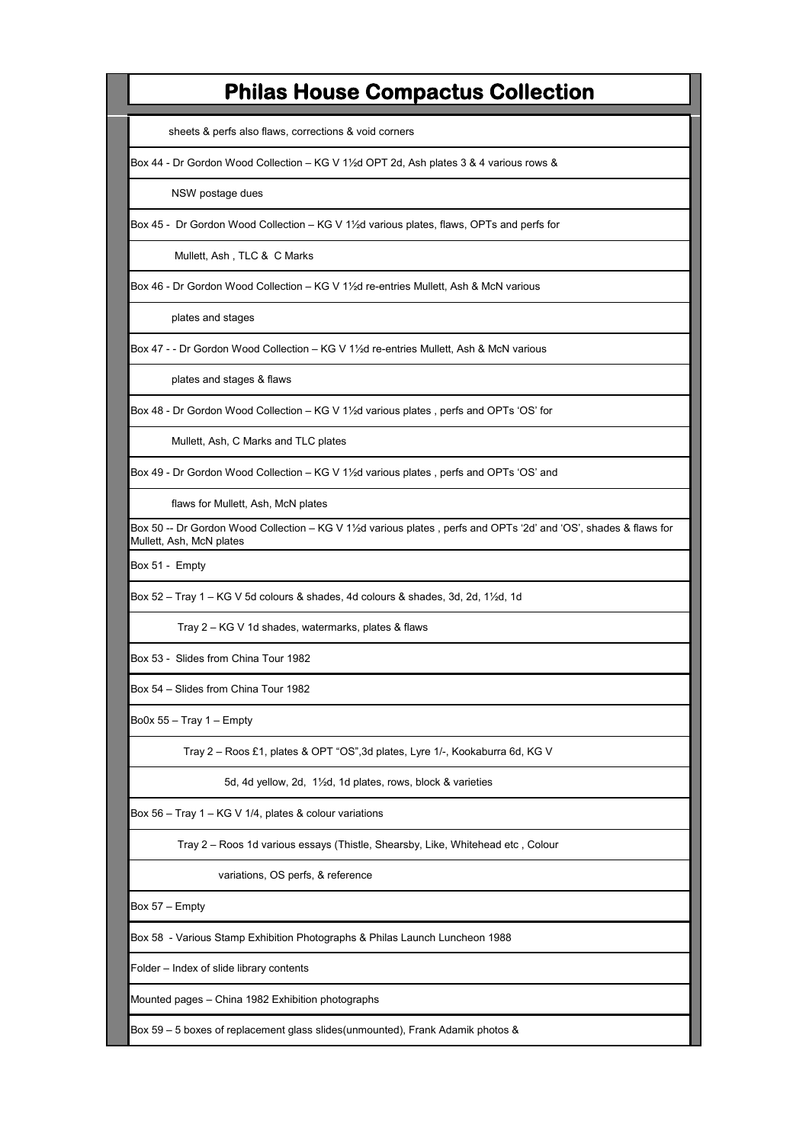sheets & perfs also flaws, corrections & void corners

Box 44 - Dr Gordon Wood Collection – KG V 1½d OPT 2d, Ash plates 3 & 4 various rows &

NSW postage dues

Box 45 - Dr Gordon Wood Collection – KG V 1½d various plates, flaws, OPTs and perfs for

Mullett, Ash , TLC & C Marks

Box 46 - Dr Gordon Wood Collection – KG V 1½d re-entries Mullett, Ash & McN various

plates and stages

Box 47 - - Dr Gordon Wood Collection – KG V 1½d re-entries Mullett, Ash & McN various

plates and stages & flaws

Box 48 - Dr Gordon Wood Collection – KG V 1½d various plates , perfs and OPTs 'OS' for

Mullett, Ash, C Marks and TLC plates

Box 49 - Dr Gordon Wood Collection – KG V 1½d various plates , perfs and OPTs 'OS' and

flaws for Mullett, Ash, McN plates

Box 50 -- Dr Gordon Wood Collection – KG V 1½d various plates , perfs and OPTs '2d' and 'OS', shades & flaws for Mullett, Ash, McN plates

Box 51 - Empty

Box 52 – Tray 1 – KG V 5d colours & shades, 4d colours & shades, 3d, 2d, 1½d, 1d

Tray 2 – KG V 1d shades, watermarks, plates & flaws

Box 53 - Slides from China Tour 1982

Box 54 – Slides from China Tour 1982

Bo0x  $55 -$  Tray 1 – Empty

Tray 2 – Roos £1, plates & OPT "OS",3d plates, Lyre 1/-, Kookaburra 6d, KG V

5d, 4d yellow, 2d, 1½d, 1d plates, rows, block & varieties

Box 56 – Tray 1 – KG V 1/4, plates & colour variations

Tray 2 – Roos 1d various essays (Thistle, Shearsby, Like, Whitehead etc , Colour

variations, OS perfs, & reference

Box 57 – Empty

Box 58 - Various Stamp Exhibition Photographs & Philas Launch Luncheon 1988

Folder – Index of slide library contents

Mounted pages – China 1982 Exhibition photographs

Box 59 – 5 boxes of replacement glass slides(unmounted), Frank Adamik photos &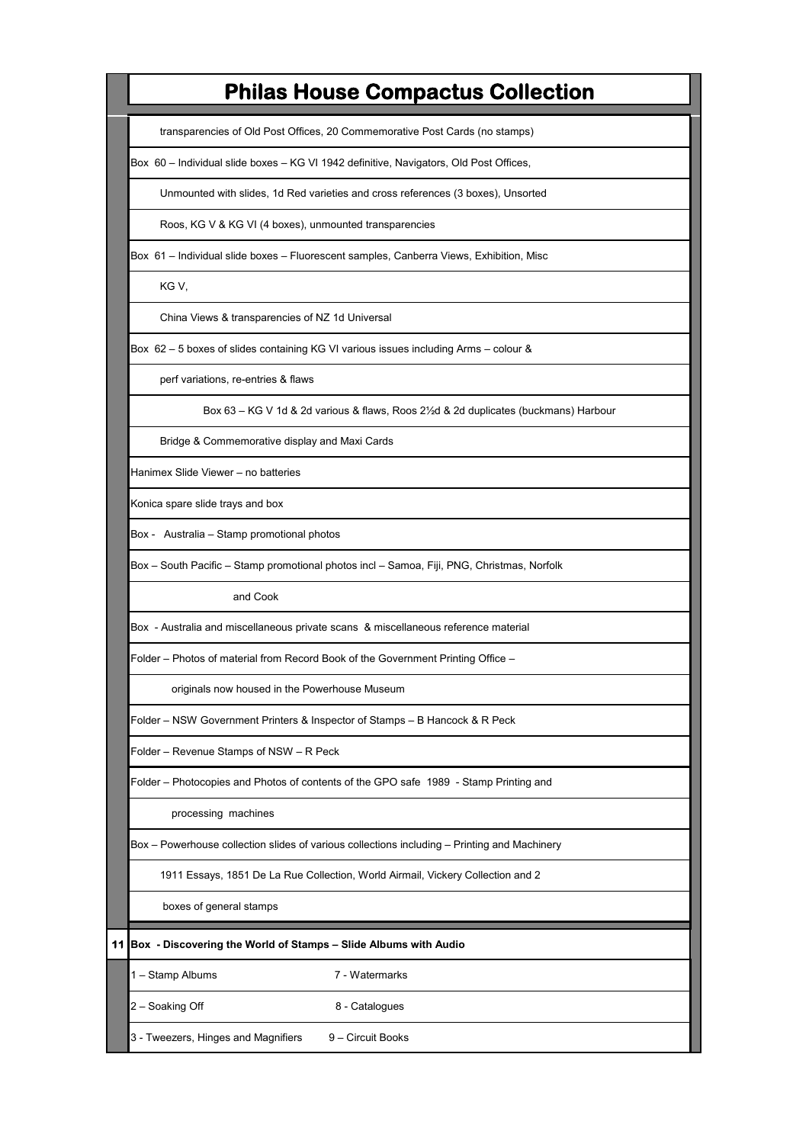transparencies of Old Post Offices, 20 Commemorative Post Cards (no stamps)

Box 60 – Individual slide boxes – KG VI 1942 definitive, Navigators, Old Post Offices,

Unmounted with slides, 1d Red varieties and cross references (3 boxes), Unsorted

Roos, KG V & KG VI (4 boxes), unmounted transparencies

Box 61 – Individual slide boxes – Fluorescent samples, Canberra Views, Exhibition, Misc

KG V,

China Views & transparencies of NZ 1d Universal

Box 62 – 5 boxes of slides containing KG VI various issues including Arms – colour &

perf variations, re-entries & flaws

Box 63 – KG V 1d & 2d various & flaws, Roos 2½d & 2d duplicates (buckmans) Harbour

Bridge & Commemorative display and Maxi Cards

Hanimex Slide Viewer – no batteries

Konica spare slide trays and box

Box - Australia – Stamp promotional photos

Box – South Pacific – Stamp promotional photos incl – Samoa, Fiji, PNG, Christmas, Norfolk

and Cook

Box - Australia and miscellaneous private scans & miscellaneous reference material

Folder – Photos of material from Record Book of the Government Printing Office –

originals now housed in the Powerhouse Museum

Folder – NSW Government Printers & Inspector of Stamps – B Hancock & R Peck

Folder – Revenue Stamps of NSW – R Peck

Folder – Photocopies and Photos of contents of the GPO safe 1989 - Stamp Printing and

processing machines

Box – Powerhouse collection slides of various collections including – Printing and Machinery

1911 Essays, 1851 De La Rue Collection, World Airmail, Vickery Collection and 2

boxes of general stamps

**11 Box - Discovering the World of Stamps – Slide Albums with Audio**

1 – Stamp Albums 7 - Watermarks

2 – Soaking Off 8 - Catalogues

3 - Tweezers, Hinges and Magnifiers  $9 -$  Circuit Books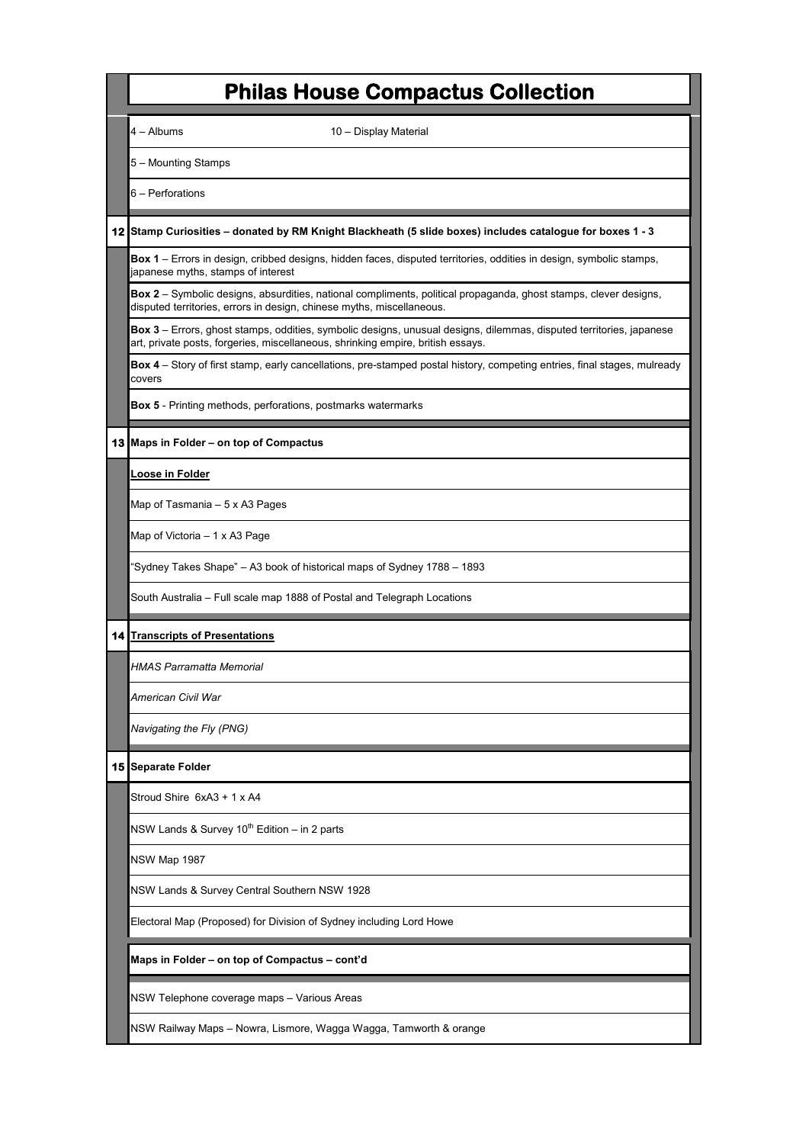| <b>Philas House Compactus Collection</b>                                                                                                                                                               |
|--------------------------------------------------------------------------------------------------------------------------------------------------------------------------------------------------------|
| 4 – Albums<br>10 - Display Material                                                                                                                                                                    |
| 5 - Mounting Stamps                                                                                                                                                                                    |
| 6 - Perforations                                                                                                                                                                                       |
| 12 Stamp Curiosities - donated by RM Knight Blackheath (5 slide boxes) includes catalogue for boxes 1 - 3                                                                                              |
| Box 1 – Errors in design, cribbed designs, hidden faces, disputed territories, oddities in design, symbolic stamps,<br>japanese myths, stamps of interest                                              |
| <b>Box 2</b> – Symbolic designs, absurdities, national compliments, political propaganda, ghost stamps, clever designs,<br>disputed territories, errors in design, chinese myths, miscellaneous.       |
| Box 3 – Errors, ghost stamps, oddities, symbolic designs, unusual designs, dilemmas, disputed territories, japanese<br>art, private posts, forgeries, miscellaneous, shrinking empire, british essays. |
| <b>Box 4</b> – Story of first stamp, early cancellations, pre-stamped postal history, competing entries, final stages, mulready<br>covers                                                              |
| <b>Box 5</b> - Printing methods, perforations, postmarks watermarks                                                                                                                                    |
| 13 Maps in Folder – on top of Compactus                                                                                                                                                                |
| Loose in Folder                                                                                                                                                                                        |
| Map of Tasmania – 5 x A3 Pages                                                                                                                                                                         |
| Map of Victoria – 1 x A3 Page                                                                                                                                                                          |
| "Sydney Takes Shape" – A3 book of historical maps of Sydney 1788 – 1893                                                                                                                                |
| South Australia – Full scale map 1888 of Postal and Telegraph Locations                                                                                                                                |
| <b>14 Transcripts of Presentations</b>                                                                                                                                                                 |
| HMAS Parramatta Memorial                                                                                                                                                                               |
| American Civil War                                                                                                                                                                                     |
| Navigating the Fly (PNG)                                                                                                                                                                               |
| 15 Separate Folder                                                                                                                                                                                     |
| Stroud Shire 6xA3 + 1 x A4                                                                                                                                                                             |
| NSW Lands & Survey $10^{th}$ Edition – in 2 parts                                                                                                                                                      |
| NSW Map 1987                                                                                                                                                                                           |
| NSW Lands & Survey Central Southern NSW 1928                                                                                                                                                           |
| Electoral Map (Proposed) for Division of Sydney including Lord Howe                                                                                                                                    |
| Maps in Folder - on top of Compactus - cont'd                                                                                                                                                          |
| NSW Telephone coverage maps - Various Areas                                                                                                                                                            |
| NSW Railway Maps - Nowra, Lismore, Wagga Wagga, Tamworth & orange                                                                                                                                      |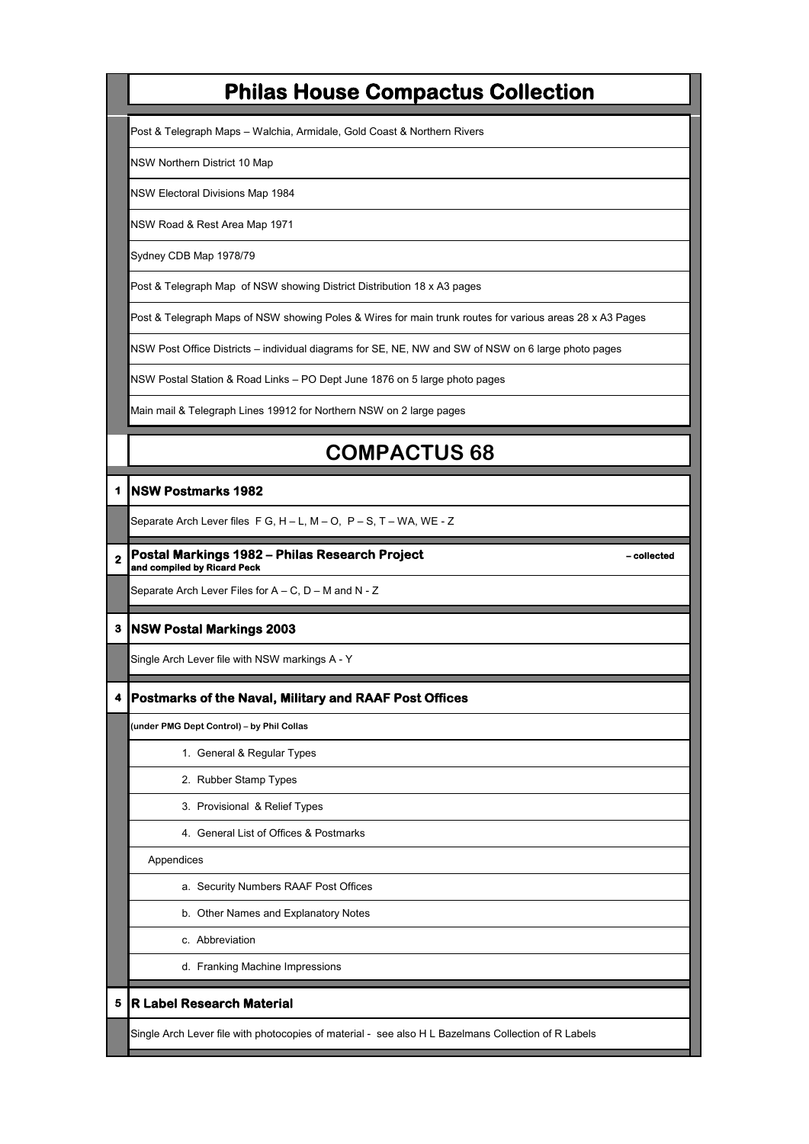Post & Telegraph Maps – Walchia, Armidale, Gold Coast & Northern Rivers

NSW Northern District 10 Map

NSW Electoral Divisions Map 1984

NSW Road & Rest Area Map 1971

Sydney CDB Map 1978/79

Post & Telegraph Map of NSW showing District Distribution 18 x A3 pages

Post & Telegraph Maps of NSW showing Poles & Wires for main trunk routes for various areas 28 x A3 Pages

NSW Post Office Districts – individual diagrams for SE, NE, NW and SW of NSW on 6 large photo pages

NSW Postal Station & Road Links – PO Dept June 1876 on 5 large photo pages

Main mail & Telegraph Lines 19912 for Northern NSW on 2 large pages

# **COMPACTUS 68**

### **1 NSW Postmarks 1982**

Separate Arch Lever files F G, H – L, M – O, P – S, T – WA, WE - Z

**2 Postal Markings 1982 – Philas Research Project <b>Constant Constant Analysis Accords** - collected **and compiled by Ricard Peck**

Separate Arch Lever Files for A – C, D – M and N - Z

#### **3 NSW Postal Markings 2003**

Single Arch Lever file with NSW markings A - Y

### **4 Postmarks of the Naval, Military and RAAF Post Offices**

**(under PMG Dept Control) – by Phil Collas**

- 1. General & Regular Types
- 2. Rubber Stamp Types
- 3. Provisional & Relief Types
- 4. General List of Offices & Postmarks

Appendices

- a. Security Numbers RAAF Post Offices
- b. Other Names and Explanatory Notes
- c. Abbreviation
- d. Franking Machine Impressions

### **5 R Label Research Material**

Single Arch Lever file with photocopies of material - see also H L Bazelmans Collection of R Labels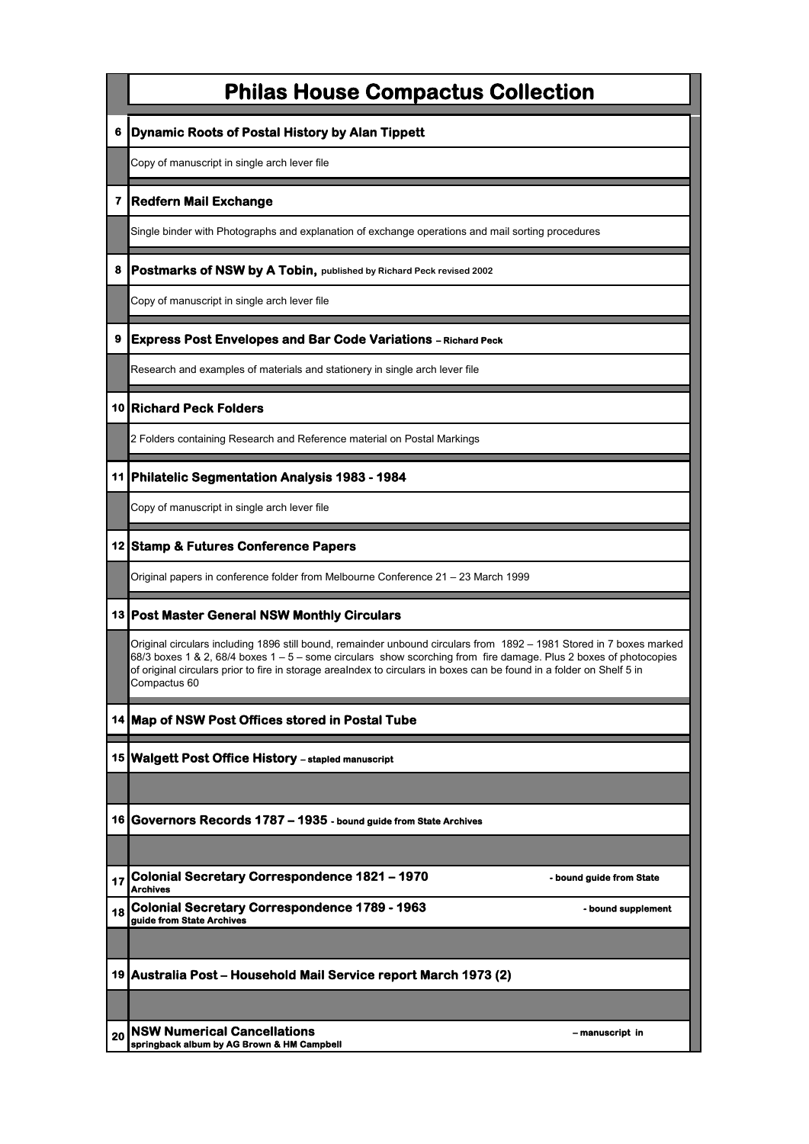|                  | <b>Philas House Compactus Collection</b>                                                                                                                                                                                                                                                                                                                                          |
|------------------|-----------------------------------------------------------------------------------------------------------------------------------------------------------------------------------------------------------------------------------------------------------------------------------------------------------------------------------------------------------------------------------|
| 6                | Dynamic Roots of Postal History by Alan Tippett                                                                                                                                                                                                                                                                                                                                   |
|                  | Copy of manuscript in single arch lever file                                                                                                                                                                                                                                                                                                                                      |
| 7                | <b>Redfern Mail Exchange</b>                                                                                                                                                                                                                                                                                                                                                      |
|                  | Single binder with Photographs and explanation of exchange operations and mail sorting procedures                                                                                                                                                                                                                                                                                 |
| 8                | Postmarks of NSW by A Tobin, published by Richard Peck revised 2002                                                                                                                                                                                                                                                                                                               |
|                  | Copy of manuscript in single arch lever file                                                                                                                                                                                                                                                                                                                                      |
| $\boldsymbol{9}$ | <b>Express Post Envelopes and Bar Code Variations - Richard Peck</b>                                                                                                                                                                                                                                                                                                              |
|                  | Research and examples of materials and stationery in single arch lever file                                                                                                                                                                                                                                                                                                       |
|                  | 10 Richard Peck Folders                                                                                                                                                                                                                                                                                                                                                           |
|                  | 2 Folders containing Research and Reference material on Postal Markings                                                                                                                                                                                                                                                                                                           |
|                  | 11 Philatelic Segmentation Analysis 1983 - 1984                                                                                                                                                                                                                                                                                                                                   |
|                  | Copy of manuscript in single arch lever file                                                                                                                                                                                                                                                                                                                                      |
|                  | 12 Stamp & Futures Conference Papers                                                                                                                                                                                                                                                                                                                                              |
|                  | Original papers in conference folder from Melbourne Conference 21 – 23 March 1999                                                                                                                                                                                                                                                                                                 |
|                  | 13 Post Master General NSW Monthly Circulars                                                                                                                                                                                                                                                                                                                                      |
|                  | Original circulars including 1896 still bound, remainder unbound circulars from 1892 – 1981 Stored in 7 boxes marked<br>68/3 boxes 1 & 2, 68/4 boxes 1 - 5 - some circulars show scorching from fire damage. Plus 2 boxes of photocopies<br>of original circulars prior to fire in storage arealndex to circulars in boxes can be found in a folder on Shelf 5 in<br>Compactus 60 |
|                  | 14 Map of NSW Post Offices stored in Postal Tube                                                                                                                                                                                                                                                                                                                                  |
|                  | 15   Walgett Post Office History - stapled manuscript                                                                                                                                                                                                                                                                                                                             |
|                  |                                                                                                                                                                                                                                                                                                                                                                                   |
|                  | 16 Governors Records 1787 - 1935 - bound guide from State Archives                                                                                                                                                                                                                                                                                                                |
|                  |                                                                                                                                                                                                                                                                                                                                                                                   |
| 17               | <b>Colonial Secretary Correspondence 1821 - 1970</b><br>- bound guide from State<br><b>Archives</b>                                                                                                                                                                                                                                                                               |
| 18               | Colonial Secretary Correspondence 1789 - 1963<br>- bound supplement<br>guide from State Archives                                                                                                                                                                                                                                                                                  |
|                  |                                                                                                                                                                                                                                                                                                                                                                                   |
|                  | 19 Australia Post – Household Mail Service report March 1973 (2)                                                                                                                                                                                                                                                                                                                  |
|                  | <b>NSW Numerical Cancellations</b><br>- manuscript in                                                                                                                                                                                                                                                                                                                             |
| 20               | springback album by AG Brown & HM Campbell                                                                                                                                                                                                                                                                                                                                        |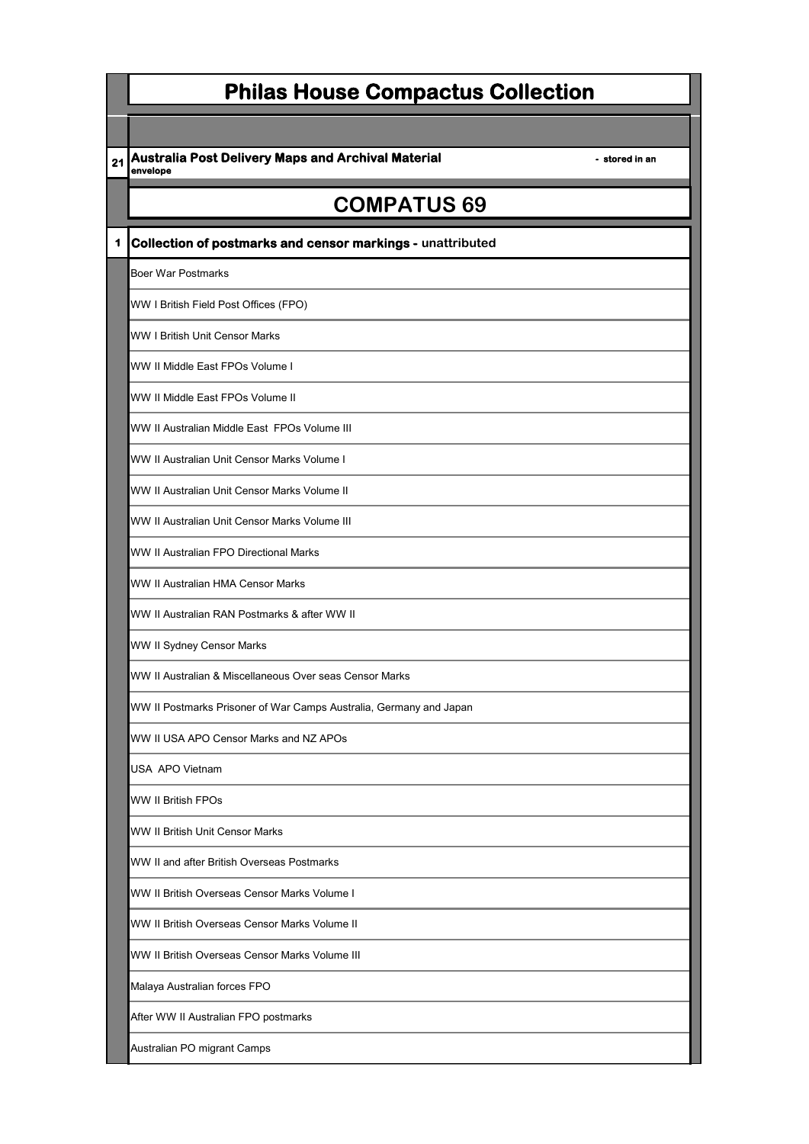21 **Australia Post Delivery Maps and Archival Material <b>Austral Australian 1** stored in an **envelope**

# **COMPATUS 69**

**1 Collection of postmarks and censor markings - unattributed**

Boer War Postmarks

WW I British Field Post Offices (FPO)

WW I British Unit Censor Marks

WW II Middle East FPOs Volume I

WW II Middle East FPOs Volume II

WW II Australian Middle East FPOs Volume III

WW II Australian Unit Censor Marks Volume I

WW II Australian Unit Censor Marks Volume II

WW II Australian Unit Censor Marks Volume III

WW II Australian FPO Directional Marks

WW II Australian HMA Censor Marks

WW II Australian RAN Postmarks & after WW II

WW II Sydney Censor Marks

WW II Australian & Miscellaneous Over seas Censor Marks

WW II Postmarks Prisoner of War Camps Australia, Germany and Japan

WW II USA APO Censor Marks and NZ APOs

USA APO Vietnam

WW II British FPOs

WW II British Unit Censor Marks

WW II and after British Overseas Postmarks

WW II British Overseas Censor Marks Volume I

WW II British Overseas Censor Marks Volume II

WW II British Overseas Censor Marks Volume III

Malaya Australian forces FPO

After WW II Australian FPO postmarks

Australian PO migrant Camps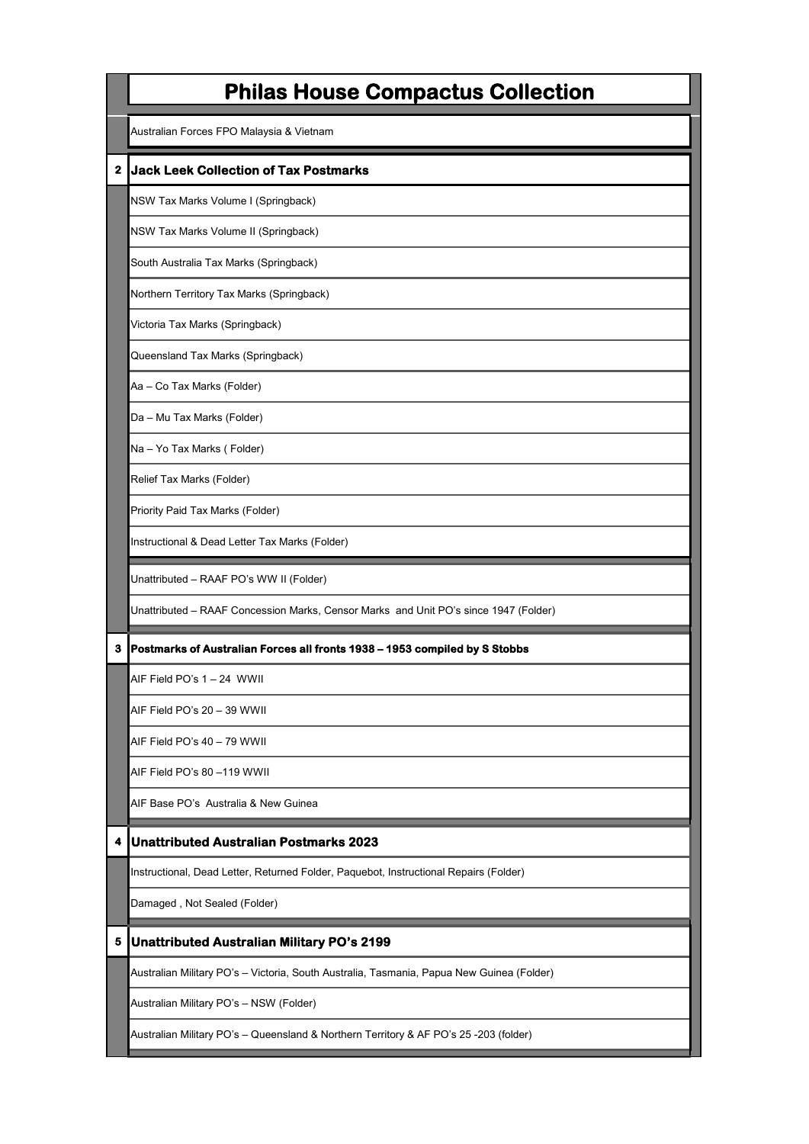|              | <b>Philas House Compactus Collection</b>                                                  |
|--------------|-------------------------------------------------------------------------------------------|
|              | Australian Forces FPO Malaysia & Vietnam                                                  |
| $\mathbf{z}$ | <b>Jack Leek Collection of Tax Postmarks</b>                                              |
|              | NSW Tax Marks Volume I (Springback)                                                       |
|              | NSW Tax Marks Volume II (Springback)                                                      |
|              | South Australia Tax Marks (Springback)                                                    |
|              | Northern Territory Tax Marks (Springback)                                                 |
|              | Victoria Tax Marks (Springback)                                                           |
|              | Queensland Tax Marks (Springback)                                                         |
|              | Aa - Co Tax Marks (Folder)                                                                |
|              | Da - Mu Tax Marks (Folder)                                                                |
|              | Na - Yo Tax Marks (Folder)                                                                |
|              | Relief Tax Marks (Folder)                                                                 |
|              | Priority Paid Tax Marks (Folder)                                                          |
|              | Instructional & Dead Letter Tax Marks (Folder)                                            |
|              | Unattributed - RAAF PO's WW II (Folder)                                                   |
|              | Unattributed - RAAF Concession Marks, Censor Marks and Unit PO's since 1947 (Folder)      |
| 3            | Postmarks of Australian Forces all fronts 1938 - 1953 compiled by S Stobbs                |
|              | AIF Field PO's 1 - 24 WWII                                                                |
|              | AIF Field PO's 20 – 39 WWII                                                               |
|              | AIF Field PO's 40 – 79 WWII                                                               |
|              | AIF Field PO's 80 –119 WWII                                                               |
|              | AIF Base PO's  Australia & New Guinea                                                     |
| 4            | <b>Unattributed Australian Postmarks 2023</b>                                             |
|              | Instructional, Dead Letter, Returned Folder, Paquebot, Instructional Repairs (Folder)     |
|              | Damaged, Not Sealed (Folder)                                                              |
| 5            |                                                                                           |
|              | <b>Unattributed Australian Military PO's 2199</b>                                         |
|              | Australian Military PO's - Victoria, South Australia, Tasmania, Papua New Guinea (Folder) |
|              | Australian Military PO's - NSW (Folder)                                                   |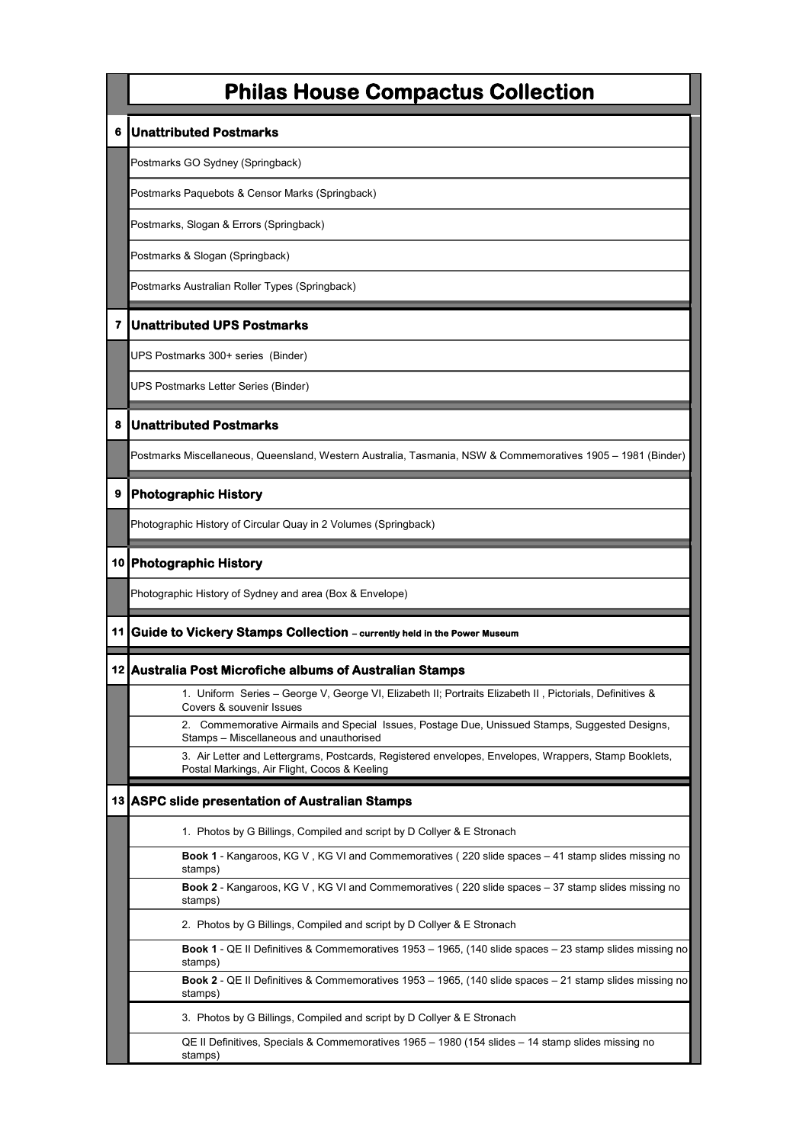#### **6 Unattributed Postmarks**

Postmarks GO Sydney (Springback)

Postmarks Paquebots & Censor Marks (Springback)

Postmarks, Slogan & Errors (Springback)

Postmarks & Slogan (Springback)

Postmarks Australian Roller Types (Springback)

#### **7 Unattributed UPS Postmarks**

UPS Postmarks 300+ series (Binder)

UPS Postmarks Letter Series (Binder)

#### **8 Unattributed Postmarks**

Postmarks Miscellaneous, Queensland, Western Australia, Tasmania, NSW & Commemoratives 1905 – 1981 (Binder)

### **9 Photographic History**

Photographic History of Circular Quay in 2 Volumes (Springback)

#### **10 Photographic History**

Photographic History of Sydney and area (Box & Envelope)

#### **11 Guide to Vickery Stamps Collection – currently held in the Power Museum**

#### **12 Australia Post Microfiche albums of Australian Stamps**

1. Uniform Series – George V, George VI, Elizabeth II; Portraits Elizabeth II , Pictorials, Definitives & Covers & souvenir Issues

2. Commemorative Airmails and Special Issues, Postage Due, Unissued Stamps, Suggested Designs, Stamps – Miscellaneous and unauthorised

3. Air Letter and Lettergrams, Postcards, Registered envelopes, Envelopes, Wrappers, Stamp Booklets, Postal Markings, Air Flight, Cocos & Keeling

#### **13 ASPC slide presentation of Australian Stamps**

1. Photos by G Billings, Compiled and script by D Collyer & E Stronach

**Book 1** - Kangaroos, KG V , KG VI and Commemoratives ( 220 slide spaces – 41 stamp slides missing no stamps)

**Book 2** - Kangaroos, KG V , KG VI and Commemoratives ( 220 slide spaces – 37 stamp slides missing no stamps)

2. Photos by G Billings, Compiled and script by D Collyer & E Stronach

**Book 1** - QE II Definitives & Commemoratives 1953 – 1965, (140 slide spaces – 23 stamp slides missing no stamps)

**Book 2** - QE II Definitives & Commemoratives 1953 – 1965, (140 slide spaces – 21 stamp slides missing no stamps)

3. Photos by G Billings, Compiled and script by D Collyer & E Stronach

QE II Definitives, Specials & Commemoratives 1965 – 1980 (154 slides – 14 stamp slides missing no stamps)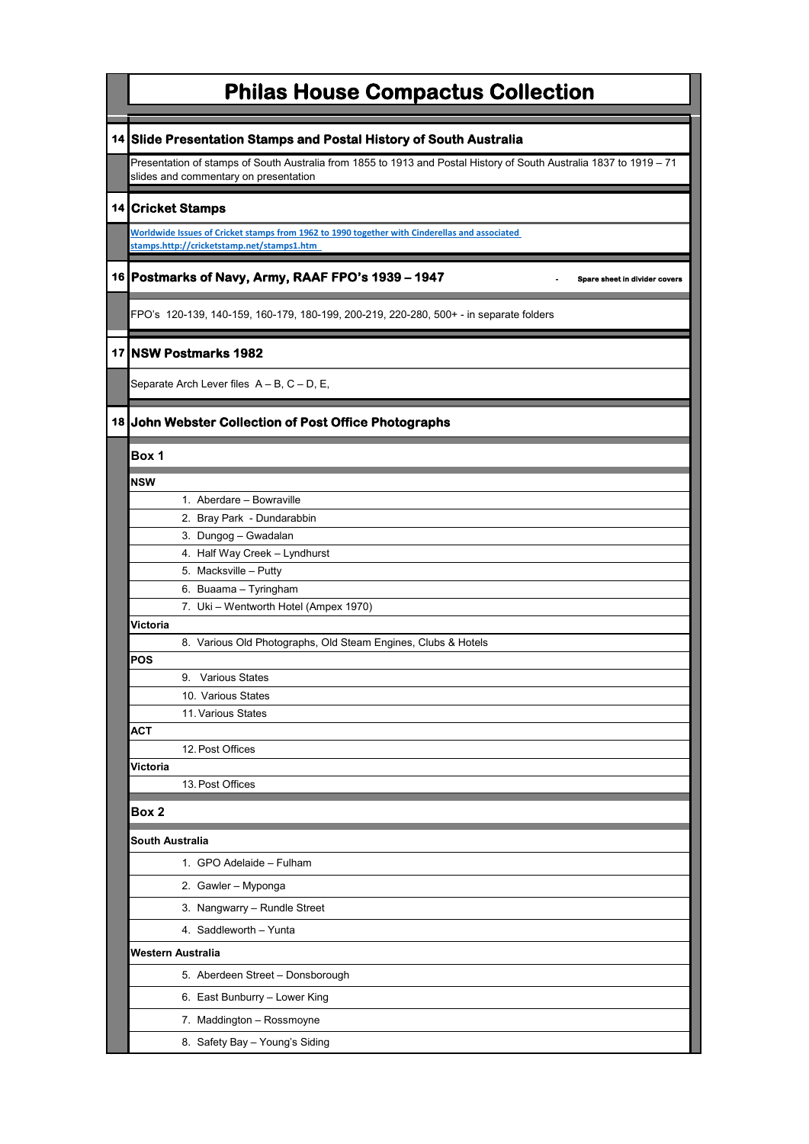| <b>Philas House Compactus Collection</b>                                                                                                                     |
|--------------------------------------------------------------------------------------------------------------------------------------------------------------|
| 14 Slide Presentation Stamps and Postal History of South Australia                                                                                           |
| Presentation of stamps of South Australia from 1855 to 1913 and Postal History of South Australia 1837 to 1919 – 71<br>slides and commentary on presentation |
| 14 Cricket Stamps                                                                                                                                            |
| Worldwide Issues of Cricket stamps from 1962 to 1990 together with Cinderellas and associated<br>stamps.http://cricketstamp.net/stamps1.htm                  |
| 16 Postmarks of Navy, Army, RAAF FPO's 1939 - 1947<br>Spare sheet in divider covers                                                                          |
| FPO's 120-139, 140-159, 160-179, 180-199, 200-219, 220-280, 500+ - in separate folders                                                                       |
| 17 NSW Postmarks 1982                                                                                                                                        |
| Separate Arch Lever files A – B, C – D, E,                                                                                                                   |
| 18 John Webster Collection of Post Office Photographs                                                                                                        |
| Box 1                                                                                                                                                        |
| NSW                                                                                                                                                          |
| 1. Aberdare - Bowraville                                                                                                                                     |
| 2. Bray Park - Dundarabbin                                                                                                                                   |
| 3. Dungog - Gwadalan                                                                                                                                         |
| 4. Half Way Creek - Lyndhurst                                                                                                                                |
| 5. Macksville - Putty                                                                                                                                        |
|                                                                                                                                                              |
| 6. Buaama - Tyringham                                                                                                                                        |
| 7. Uki - Wentworth Hotel (Ampex 1970)                                                                                                                        |
| Victoria<br>8. Various Old Photographs, Old Steam Engines, Clubs & Hotels                                                                                    |
| POS                                                                                                                                                          |
| 9. Various States                                                                                                                                            |
| 10. Various States                                                                                                                                           |
| 11. Various States                                                                                                                                           |
| АСТ                                                                                                                                                          |
| 12. Post Offices                                                                                                                                             |
| Victoria                                                                                                                                                     |
| 13. Post Offices                                                                                                                                             |
| Box 2                                                                                                                                                        |
| South Australia                                                                                                                                              |
| 1. GPO Adelaide - Fulham                                                                                                                                     |
| 2. Gawler - Myponga                                                                                                                                          |
| 3. Nangwarry - Rundle Street                                                                                                                                 |
| 4. Saddleworth - Yunta                                                                                                                                       |
| Western Australia                                                                                                                                            |
| 5. Aberdeen Street - Donsborough                                                                                                                             |
| 6. East Bunburry - Lower King                                                                                                                                |
| 7. Maddington - Rossmoyne                                                                                                                                    |
| 8. Safety Bay - Young's Siding                                                                                                                               |
|                                                                                                                                                              |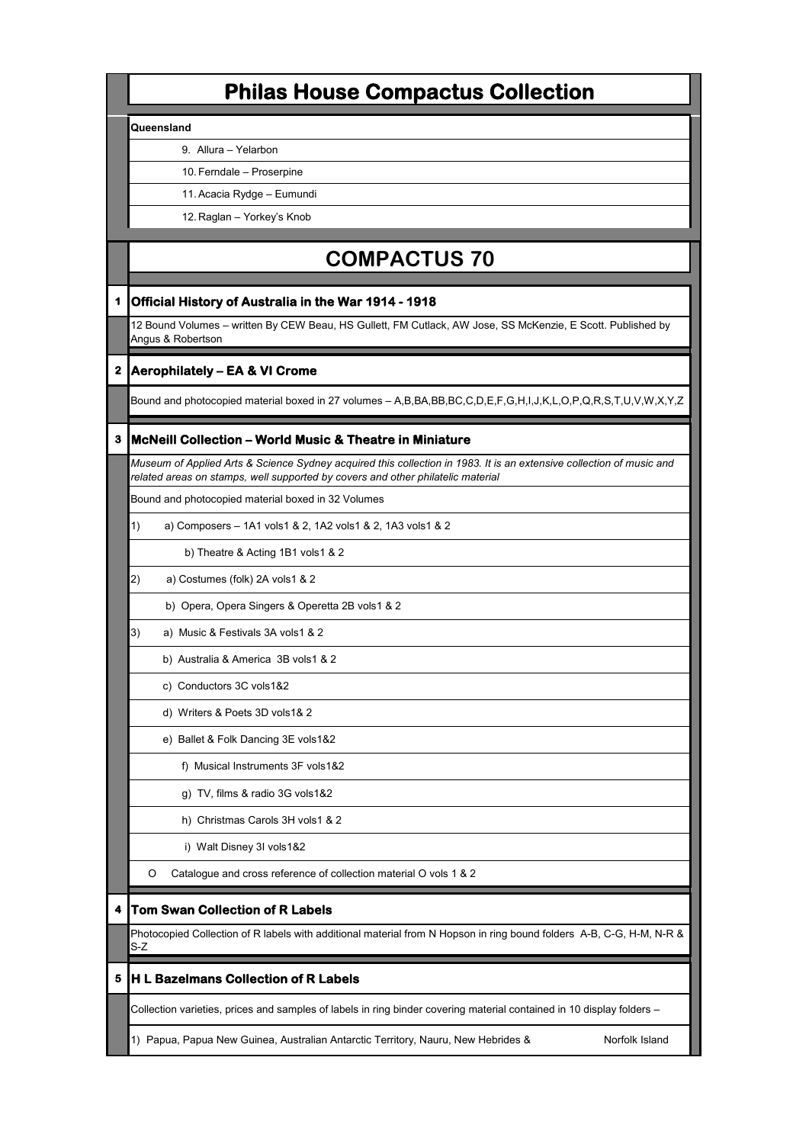#### **Queensland**

9. Allura – Yelarbon

10. Ferndale – Proserpine

11.Acacia Rydge – Eumundi

12. Raglan – Yorkey's Knob

# **COMPACTUS 70**

### **1 Official History of Australia in the War 1914 - 1918**

12 Bound Volumes – written By CEW Beau, HS Gullett, FM Cutlack, AW Jose, SS McKenzie, E Scott. Published by Angus & Robertson

### **2 Aerophilately – EA & VI Crome**

Bound and photocopied material boxed in 27 volumes – A,B,BA,BB,BC,C,D,E,F,G,H,I,J,K,L,O,P,Q,R,S,T,U,V,W,X,Y,Z

### **3 McNeill Collection – World Music & Theatre in Miniature**

*Museum of Applied Arts & Science Sydney acquired this collection in 1983. It is an extensive collection of music and related areas on stamps, well supported by covers and other philatelic material*

Bound and photocopied material boxed in 32 Volumes

1) a) Composers – 1A1 vols1 & 2, 1A2 vols1 & 2, 1A3 vols1 & 2

b) Theatre & Acting 1B1 vols1 & 2

2) a) Costumes (folk) 2A vols1 & 2

b) Opera, Opera Singers & Operetta 2B vols1 & 2

3) a) Music & Festivals 3A vols1 & 2

b) Australia & America 3B vols1 & 2

c) Conductors 3C vols1&2

- d) Writers & Poets 3D vols1& 2
- e) Ballet & Folk Dancing 3E vols1&2

f) Musical Instruments 3F vols1&2

g) TV, films & radio 3G vols1&2

h) Christmas Carols 3H vols1 & 2

i) Walt Disney 3I vols1&2

O Catalogue and cross reference of collection material O vols 1 & 2

### **4 Tom Swan Collection of R Labels**

Photocopied Collection of R labels with additional material from N Hopson in ring bound folders A-B, C-G, H-M, N-R & S-Z

### **5 H L Bazelmans Collection of R Labels**

Collection varieties, prices and samples of labels in ring binder covering material contained in 10 display folders –

1) Papua, Papua New Guinea, Australian Antarctic Territory, Nauru, New Hebrides & Norfolk Island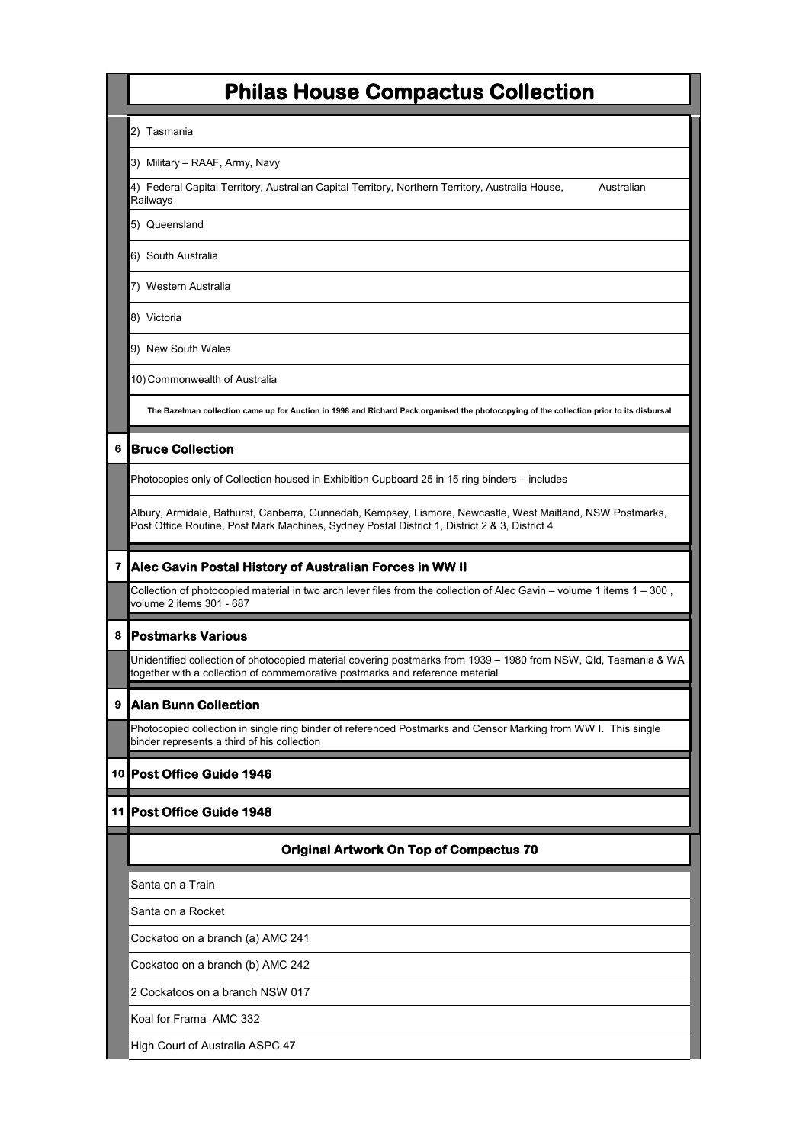2) Tasmania

3) Military – RAAF, Army, Navy

4) Federal Capital Territory, Australian Capital Territory, Northern Territory, Australia House, Australian Railways

5) Queensland

6) South Australia

7) Western Australia

8) Victoria

9) New South Wales

10) Commonwealth of Australia

**The Bazelman collection came up for Auction in 1998 and Richard Peck organised the photocopying of the collection prior to its disbursal** 

### **6 Bruce Collection**

Photocopies only of Collection housed in Exhibition Cupboard 25 in 15 ring binders – includes

Albury, Armidale, Bathurst, Canberra, Gunnedah, Kempsey, Lismore, Newcastle, West Maitland, NSW Postmarks, Post Office Routine, Post Mark Machines, Sydney Postal District 1, District 2 & 3, District 4

### **7 Alec Gavin Postal History of Australian Forces in WW II**

Collection of photocopied material in two arch lever files from the collection of Alec Gavin – volume 1 items 1 – 300 , volume 2 items 301 - 687

### **8 Postmarks Various**

Unidentified collection of photocopied material covering postmarks from 1939 – 1980 from NSW, Qld, Tasmania & WA together with a collection of commemorative postmarks and reference material

### **9 Alan Bunn Collection**

Photocopied collection in single ring binder of referenced Postmarks and Censor Marking from WW I. This single binder represents a third of his collection

### **10 Post Office Guide 1946**

### **11 Post Office Guide 1948**

### **Original Artwork On Top of Compactus 70**

Santa on a Train

Santa on a Rocket

Cockatoo on a branch (a) AMC 241

Cockatoo on a branch (b) AMC 242

2 Cockatoos on a branch NSW 017

Koal for Frama AMC 332

High Court of Australia ASPC 47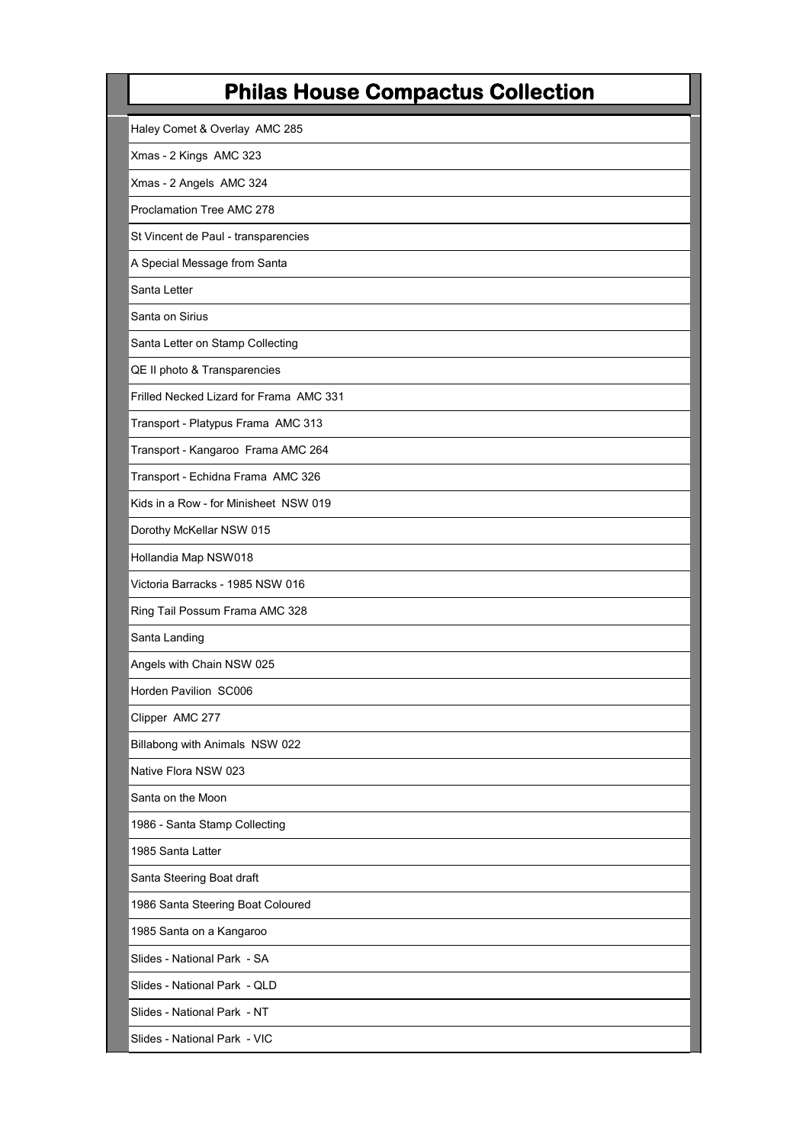| Haley Comet & Overlay AMC 285           |
|-----------------------------------------|
| Xmas - 2 Kings AMC 323                  |
| Xmas - 2 Angels AMC 324                 |
| Proclamation Tree AMC 278               |
| St Vincent de Paul - transparencies     |
| A Special Message from Santa            |
| Santa Letter                            |
| Santa on Sirius                         |
| Santa Letter on Stamp Collecting        |
| QE II photo & Transparencies            |
| Frilled Necked Lizard for Frama AMC 331 |
| Transport - Platypus Frama AMC 313      |
| Transport - Kangaroo Frama AMC 264      |
| Transport - Echidna Frama AMC 326       |
| Kids in a Row - for Minisheet NSW 019   |
| Dorothy McKellar NSW 015                |
| Hollandia Map NSW018                    |
| Victoria Barracks - 1985 NSW 016        |
| Ring Tail Possum Frama AMC 328          |
| Santa Landing                           |
| Angels with Chain NSW 025               |
| Horden Pavilion SC006                   |
| Clipper AMC 277                         |
| Billabong with Animals NSW 022          |
| Native Flora NSW 023                    |
| Santa on the Moon                       |
| 1986 - Santa Stamp Collecting           |
| 1985 Santa Latter                       |
| Santa Steering Boat draft               |
| 1986 Santa Steering Boat Coloured       |
| 1985 Santa on a Kangaroo                |
| Slides - National Park - SA             |
| Slides - National Park - QLD            |
| Slides - National Park - NT             |
| Slides - National Park - VIC            |